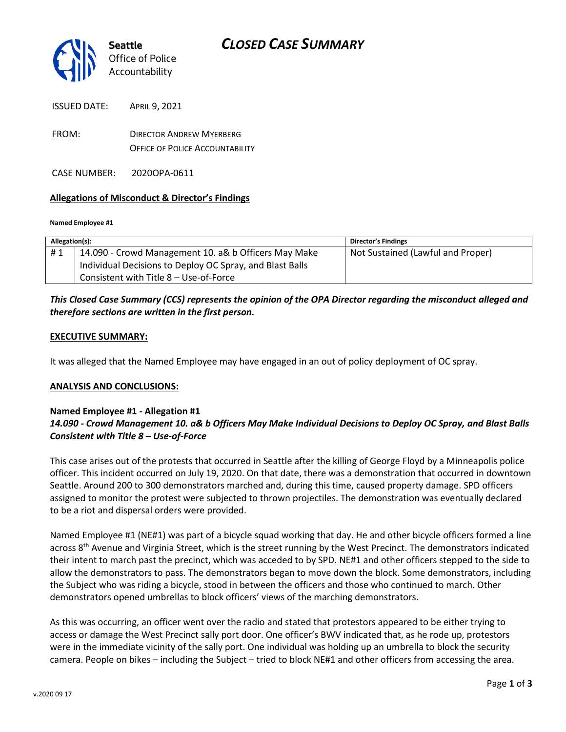

ISSUED DATE: APRIL 9, 2021

FROM: DIRECTOR ANDREW MYERBERG OFFICE OF POLICE ACCOUNTABILITY

CASE NUMBER: 2020OPA-0611

#### **Allegations of Misconduct & Director's Findings**

#### **Named Employee #1**

| Allegation(s): |                                                          | <b>Director's Findings</b>        |
|----------------|----------------------------------------------------------|-----------------------------------|
| #1             | 14.090 - Crowd Management 10. a& b Officers May Make     | Not Sustained (Lawful and Proper) |
|                | Individual Decisions to Deploy OC Spray, and Blast Balls |                                   |
|                | Consistent with Title 8 - Use-of-Force                   |                                   |

### *This Closed Case Summary (CCS) represents the opinion of the OPA Director regarding the misconduct alleged and therefore sections are written in the first person.*

#### **EXECUTIVE SUMMARY:**

It was alleged that the Named Employee may have engaged in an out of policy deployment of OC spray.

#### **ANALYSIS AND CONCLUSIONS:**

### **Named Employee #1 - Allegation #1** *14.090 - Crowd Management 10. a& b Officers May Make Individual Decisions to Deploy OC Spray, and Blast Balls Consistent with Title 8 – Use-of-Force*

This case arises out of the protests that occurred in Seattle after the killing of George Floyd by a Minneapolis police officer. This incident occurred on July 19, 2020. On that date, there was a demonstration that occurred in downtown Seattle. Around 200 to 300 demonstrators marched and, during this time, caused property damage. SPD officers assigned to monitor the protest were subjected to thrown projectiles. The demonstration was eventually declared to be a riot and dispersal orders were provided.

Named Employee #1 (NE#1) was part of a bicycle squad working that day. He and other bicycle officers formed a line across  $8<sup>th</sup>$  Avenue and Virginia Street, which is the street running by the West Precinct. The demonstrators indicated their intent to march past the precinct, which was acceded to by SPD. NE#1 and other officers stepped to the side to allow the demonstrators to pass. The demonstrators began to move down the block. Some demonstrators, including the Subject who was riding a bicycle, stood in between the officers and those who continued to march. Other demonstrators opened umbrellas to block officers' views of the marching demonstrators.

As this was occurring, an officer went over the radio and stated that protestors appeared to be either trying to access or damage the West Precinct sally port door. One officer's BWV indicated that, as he rode up, protestors were in the immediate vicinity of the sally port. One individual was holding up an umbrella to block the security camera. People on bikes – including the Subject – tried to block NE#1 and other officers from accessing the area.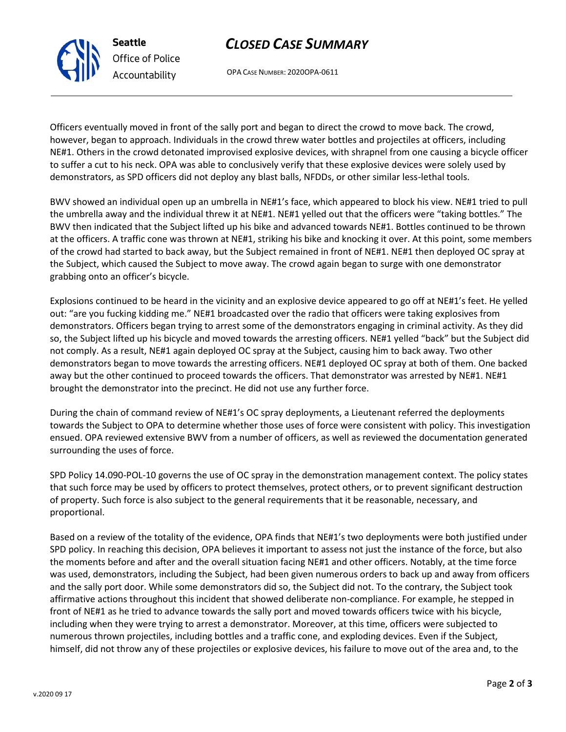## *CLOSED CASE SUMMARY*

OPA CASE NUMBER: 2020OPA-0611

Officers eventually moved in front of the sally port and began to direct the crowd to move back. The crowd, however, began to approach. Individuals in the crowd threw water bottles and projectiles at officers, including NE#1. Others in the crowd detonated improvised explosive devices, with shrapnel from one causing a bicycle officer to suffer a cut to his neck. OPA was able to conclusively verify that these explosive devices were solely used by demonstrators, as SPD officers did not deploy any blast balls, NFDDs, or other similar less-lethal tools.

BWV showed an individual open up an umbrella in NE#1's face, which appeared to block his view. NE#1 tried to pull the umbrella away and the individual threw it at NE#1. NE#1 yelled out that the officers were "taking bottles." The BWV then indicated that the Subject lifted up his bike and advanced towards NE#1. Bottles continued to be thrown at the officers. A traffic cone was thrown at NE#1, striking his bike and knocking it over. At this point, some members of the crowd had started to back away, but the Subject remained in front of NE#1. NE#1 then deployed OC spray at the Subject, which caused the Subject to move away. The crowd again began to surge with one demonstrator grabbing onto an officer's bicycle.

Explosions continued to be heard in the vicinity and an explosive device appeared to go off at NE#1's feet. He yelled out: "are you fucking kidding me." NE#1 broadcasted over the radio that officers were taking explosives from demonstrators. Officers began trying to arrest some of the demonstrators engaging in criminal activity. As they did so, the Subject lifted up his bicycle and moved towards the arresting officers. NE#1 yelled "back" but the Subject did not comply. As a result, NE#1 again deployed OC spray at the Subject, causing him to back away. Two other demonstrators began to move towards the arresting officers. NE#1 deployed OC spray at both of them. One backed away but the other continued to proceed towards the officers. That demonstrator was arrested by NE#1. NE#1 brought the demonstrator into the precinct. He did not use any further force.

During the chain of command review of NE#1's OC spray deployments, a Lieutenant referred the deployments towards the Subject to OPA to determine whether those uses of force were consistent with policy. This investigation ensued. OPA reviewed extensive BWV from a number of officers, as well as reviewed the documentation generated surrounding the uses of force.

SPD Policy 14.090-POL-10 governs the use of OC spray in the demonstration management context. The policy states that such force may be used by officers to protect themselves, protect others, or to prevent significant destruction of property. Such force is also subject to the general requirements that it be reasonable, necessary, and proportional.

Based on a review of the totality of the evidence, OPA finds that NE#1's two deployments were both justified under SPD policy. In reaching this decision, OPA believes it important to assess not just the instance of the force, but also the moments before and after and the overall situation facing NE#1 and other officers. Notably, at the time force was used, demonstrators, including the Subject, had been given numerous orders to back up and away from officers and the sally port door. While some demonstrators did so, the Subject did not. To the contrary, the Subject took affirmative actions throughout this incident that showed deliberate non-compliance. For example, he stepped in front of NE#1 as he tried to advance towards the sally port and moved towards officers twice with his bicycle, including when they were trying to arrest a demonstrator. Moreover, at this time, officers were subjected to numerous thrown projectiles, including bottles and a traffic cone, and exploding devices. Even if the Subject, himself, did not throw any of these projectiles or explosive devices, his failure to move out of the area and, to the



**Seattle**

*Office of Police Accountability*